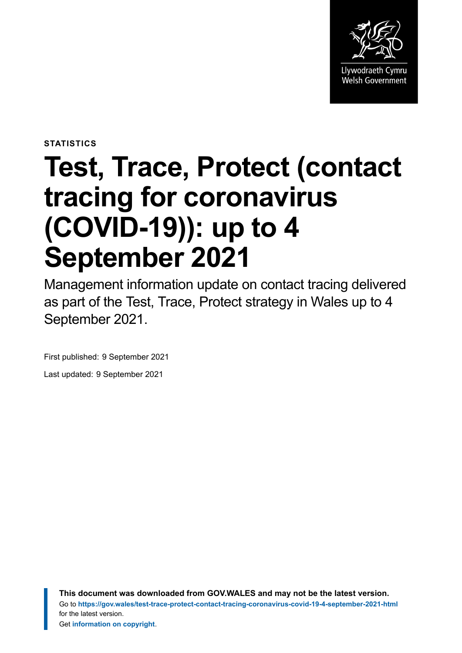

**STATISTICS**

# **Test, Trace, Protect (contact tracing for coronavirus (COVID-19)): up to 4 September 2021**

Management information update on contact tracing delivered as part of the Test, Trace, Protect strategy in Wales up to 4 September 2021.

First published: 9 September 2021

Last updated: 9 September 2021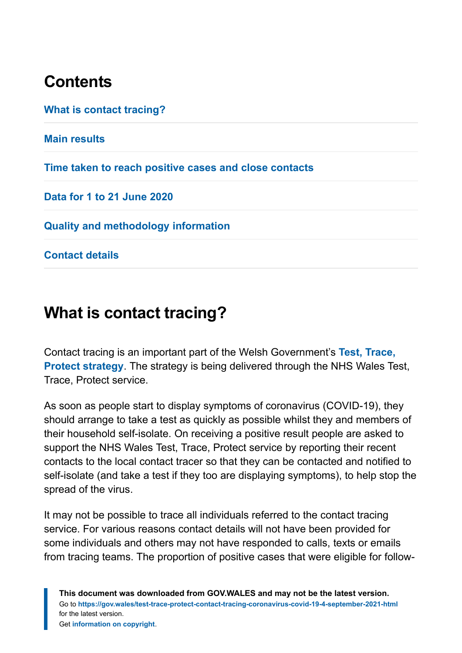# **Contents**

**[What is contact tracing?](#page-1-0)**

**[Main results](#page-2-0)**

**[Time taken to reach positive cases and close contacts](#page-8-0)**

**[Data for 1 to 21 June 2020](#page-9-0)**

**[Quality and methodology information](#page-10-0)**

**[Contact details](#page-17-0)**

# <span id="page-1-0"></span>**What is contact tracing?**

Contact tracing is an important part of the Welsh Government's **[Test, Trace,](https://gov.wales/test-trace-protect) [Protect strategy](https://gov.wales/test-trace-protect)**. The strategy is being delivered through the NHS Wales Test, Trace, Protect service.

As soon as people start to display symptoms of coronavirus (COVID-19), they should arrange to take a test as quickly as possible whilst they and members of their household self-isolate. On receiving a positive result people are asked to support the NHS Wales Test, Trace, Protect service by reporting their recent contacts to the local contact tracer so that they can be contacted and notified to self-isolate (and take a test if they too are displaying symptoms), to help stop the spread of the virus.

It may not be possible to trace all individuals referred to the contact tracing service. For various reasons contact details will not have been provided for some individuals and others may not have responded to calls, texts or emails from tracing teams. The proportion of positive cases that were eligible for follow-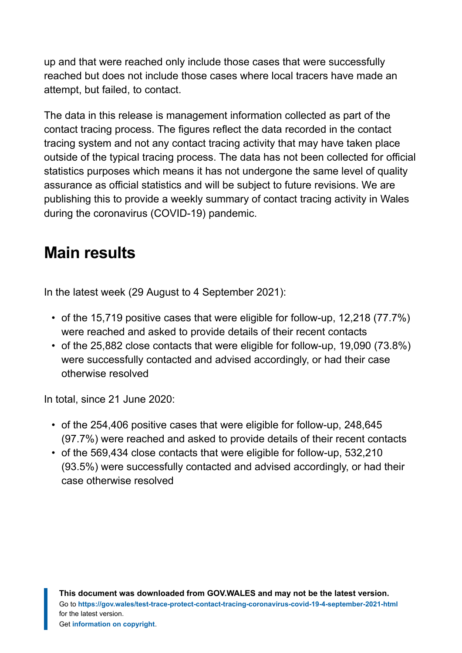up and that were reached only include those cases that were successfully reached but does not include those cases where local tracers have made an attempt, but failed, to contact.

The data in this release is management information collected as part of the contact tracing process. The figures reflect the data recorded in the contact tracing system and not any contact tracing activity that may have taken place outside of the typical tracing process. The data has not been collected for official statistics purposes which means it has not undergone the same level of quality assurance as official statistics and will be subject to future revisions. We are publishing this to provide a weekly summary of contact tracing activity in Wales during the coronavirus (COVID-19) pandemic.

# <span id="page-2-0"></span>**Main results**

In the latest week (29 August to 4 September 2021):

- of the 15,719 positive cases that were eligible for follow-up, 12,218 (77.7%) were reached and asked to provide details of their recent contacts
- of the 25,882 close contacts that were eligible for follow-up, 19,090 (73.8%) were successfully contacted and advised accordingly, or had their case otherwise resolved

In total, since 21 June 2020:

- of the 254,406 positive cases that were eligible for follow-up, 248,645 (97.7%) were reached and asked to provide details of their recent contacts
- of the 569,434 close contacts that were eligible for follow-up, 532,210 (93.5%) were successfully contacted and advised accordingly, or had their case otherwise resolved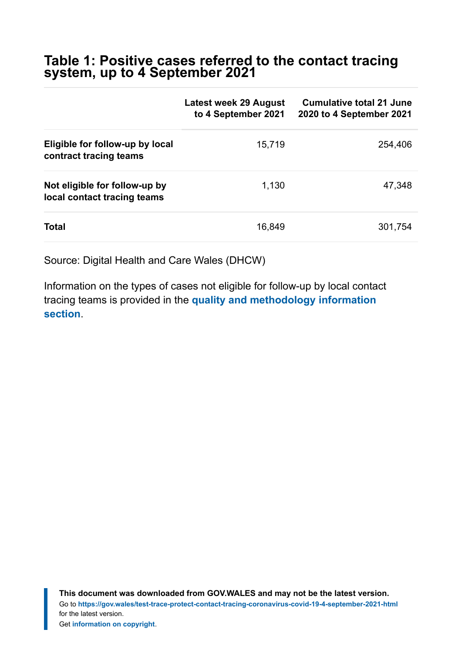#### **Table 1: Positive cases referred to the contact tracing system, up to 4 September 2021**

|                                                              | Latest week 29 August<br>to 4 September 2021 | <b>Cumulative total 21 June</b><br>2020 to 4 September 2021 |
|--------------------------------------------------------------|----------------------------------------------|-------------------------------------------------------------|
| Eligible for follow-up by local<br>contract tracing teams    | 15,719                                       | 254,406                                                     |
| Not eligible for follow-up by<br>local contact tracing teams | 1,130                                        | 47,348                                                      |
| <b>Total</b>                                                 | 16,849                                       | 301,754                                                     |

Source: Digital Health and Care Wales (DHCW)

Information on the types of cases not eligible for follow-up by local contact tracing teams is provided in the **[quality and methodology information](https://gov.wales/test-trace-protect-contact-tracing-coronavirus-covid-19-4-september-2021-html#section-79345) [section](https://gov.wales/test-trace-protect-contact-tracing-coronavirus-covid-19-4-september-2021-html#section-79345)**.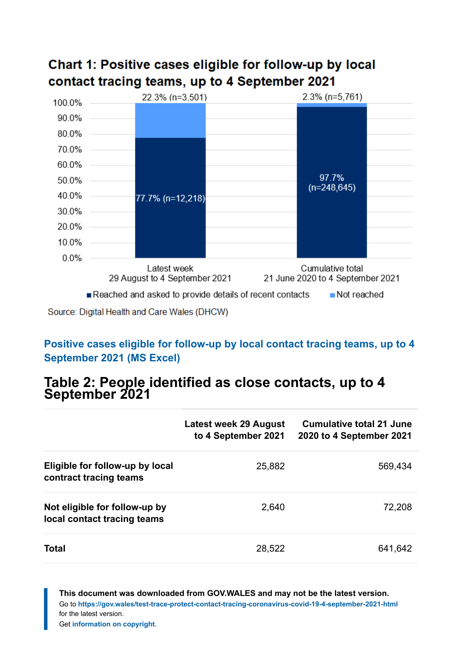

### Chart 1: Positive cases eligible for follow-up by local contact tracing teams, up to 4 September 2021

Source: Digital Health and Care Wales (DHCW)

#### **[Positive cases eligible for follow-up by local contact tracing teams, up to 4](https://gov.wales/sites/default/files/statistics-and-research/2021-09/test-trace-protect-contact-tracing-for-coronavirus-covid-19-up-to-4-september-2021-811.ods) [September 2021 \(MS Excel\)](https://gov.wales/sites/default/files/statistics-and-research/2021-09/test-trace-protect-contact-tracing-for-coronavirus-covid-19-up-to-4-september-2021-811.ods)**

#### **Table 2: People identified as close contacts, up to 4 September 2021**

|                                                              | Latest week 29 August<br>to 4 September 2021 | <b>Cumulative total 21 June</b><br>2020 to 4 September 2021 |
|--------------------------------------------------------------|----------------------------------------------|-------------------------------------------------------------|
| Eligible for follow-up by local<br>contract tracing teams    | 25,882                                       | 569,434                                                     |
| Not eligible for follow-up by<br>local contact tracing teams | 2,640                                        | 72,208                                                      |
| Total                                                        | 28,522                                       | 641,642                                                     |

**This document was downloaded from GOV.WALES and may not be the latest version.** Go to **<https://gov.wales/test-trace-protect-contact-tracing-coronavirus-covid-19-4-september-2021-html>** for the latest version.

Get **[information on copyright](https://gov.wales/copyright-statement)**.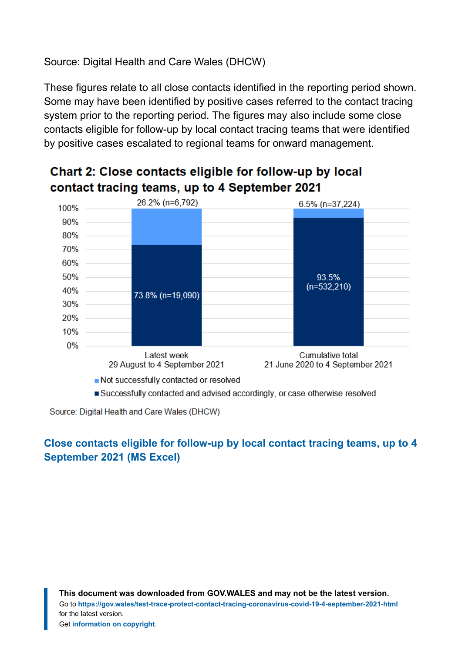Source: Digital Health and Care Wales (DHCW)

These figures relate to all close contacts identified in the reporting period shown. Some may have been identified by positive cases referred to the contact tracing system prior to the reporting period. The figures may also include some close contacts eligible for follow-up by local contact tracing teams that were identified by positive cases escalated to regional teams for onward management.



### Chart 2: Close contacts eligible for follow-up by local contact tracing teams, up to 4 September 2021

Source: Digital Health and Care Wales (DHCW)

#### **[Close contacts eligible for follow-up by local contact tracing teams, up to 4](https://gov.wales/sites/default/files/statistics-and-research/2021-09/test-trace-protect-contact-tracing-for-coronavirus-covid-19-up-to-4-september-2021-811.ods) [September 2021 \(MS Excel\)](https://gov.wales/sites/default/files/statistics-and-research/2021-09/test-trace-protect-contact-tracing-for-coronavirus-covid-19-up-to-4-september-2021-811.ods)**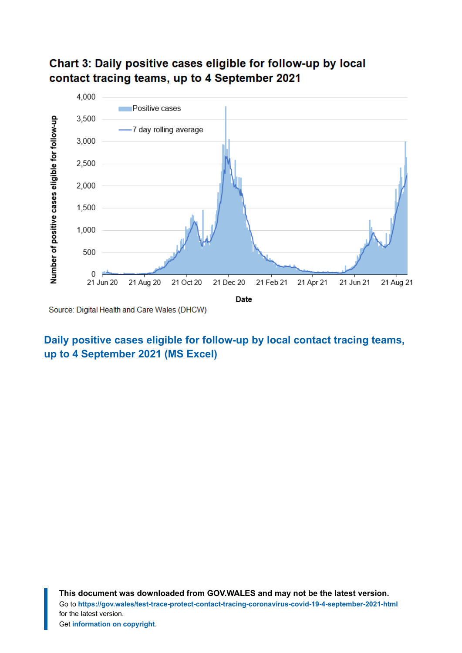

#### Chart 3: Daily positive cases eligible for follow-up by local contact tracing teams, up to 4 September 2021

#### **[Daily positive cases eligible for follow-up by local contact tracing teams,](https://gov.wales/sites/default/files/statistics-and-research/2021-09/test-trace-protect-contact-tracing-for-coronavirus-covid-19-up-to-4-september-2021-811.ods) [up to 4 September 2021 \(MS Excel\)](https://gov.wales/sites/default/files/statistics-and-research/2021-09/test-trace-protect-contact-tracing-for-coronavirus-covid-19-up-to-4-september-2021-811.ods)**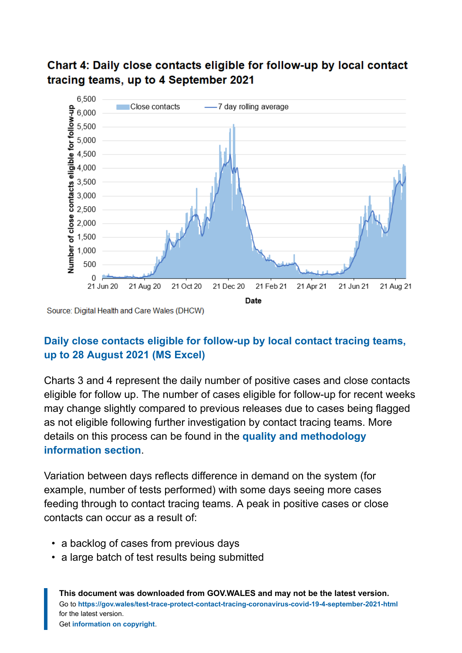

#### Chart 4: Daily close contacts eligible for follow-up by local contact tracing teams, up to 4 September 2021

Source: Digital Health and Care Wales (DHCW)

#### **[Daily close contacts eligible for follow-up by local contact tracing teams,](https://gov.wales/sites/default/files/statistics-and-research/2021-09/test-trace-protect-contact-tracing-for-coronavirus-covid-19-up-to-4-september-2021-811.ods) [up to 28 August 2021](https://gov.wales/sites/default/files/statistics-and-research/2021-09/test-trace-protect-contact-tracing-for-coronavirus-covid-19-up-to-4-september-2021-811.ods) (MS Excel)**

Charts 3 and 4 represent the daily number of positive cases and close contacts eligible for follow up. The number of cases eligible for follow-up for recent weeks may change slightly compared to previous releases due to cases being flagged as not eligible following further investigation by contact tracing teams. More details on this process can be found in the **[quality and methodology](https://gov.wales/test-trace-protect-contact-tracing-coronavirus-covid-19-4-september-2021-html#section-79345) [information](https://gov.wales/test-trace-protect-contact-tracing-coronavirus-covid-19-4-september-2021-html#section-79345) section**.

Variation between days reflects difference in demand on the system (for example, number of tests performed) with some days seeing more cases feeding through to contact tracing teams. A peak in positive cases or close contacts can occur as a result of:

- a backlog of cases from previous days
- a large batch of test results being submitted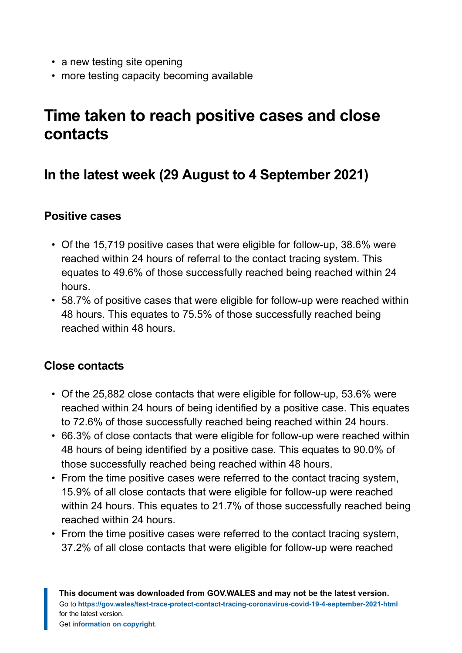- a new testing site opening
- more testing capacity becoming available

# <span id="page-8-0"></span>**Time taken to reach positive cases and close contacts**

### **In the latest week (29 August to 4 September 2021)**

#### **Positive cases**

- Of the 15,719 positive cases that were eligible for follow-up, 38.6% were reached within 24 hours of referral to the contact tracing system. This equates to 49.6% of those successfully reached being reached within 24 hours.
- 58.7% of positive cases that were eligible for follow-up were reached within 48 hours. This equates to 75.5% of those successfully reached being reached within 48 hours.

#### **Close contacts**

- Of the 25,882 close contacts that were eligible for follow-up, 53.6% were reached within 24 hours of being identified by a positive case. This equates to 72.6% of those successfully reached being reached within 24 hours.
- 66.3% of close contacts that were eligible for follow-up were reached within 48 hours of being identified by a positive case. This equates to 90.0% of those successfully reached being reached within 48 hours.
- From the time positive cases were referred to the contact tracing system, 15.9% of all close contacts that were eligible for follow-up were reached within 24 hours. This equates to 21.7% of those successfully reached being reached within 24 hours.
- From the time positive cases were referred to the contact tracing system, 37.2% of all close contacts that were eligible for follow-up were reached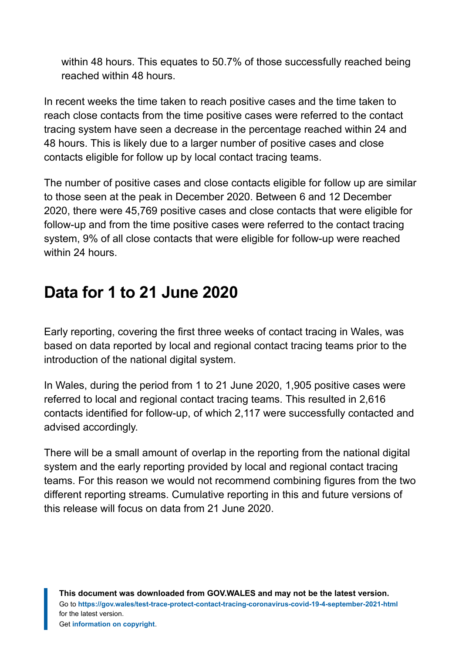within 48 hours. This equates to 50.7% of those successfully reached being reached within 48 hours.

In recent weeks the time taken to reach positive cases and the time taken to reach close contacts from the time positive cases were referred to the contact tracing system have seen a decrease in the percentage reached within 24 and 48 hours. This is likely due to a larger number of positive cases and close contacts eligible for follow up by local contact tracing teams.

The number of positive cases and close contacts eligible for follow up are similar to those seen at the peak in December 2020. Between 6 and 12 December 2020, there were 45,769 positive cases and close contacts that were eligible for follow-up and from the time positive cases were referred to the contact tracing system, 9% of all close contacts that were eligible for follow-up were reached within 24 hours.

# <span id="page-9-0"></span>**Data for 1 to 21 June 2020**

Early reporting, covering the first three weeks of contact tracing in Wales, was based on data reported by local and regional contact tracing teams prior to the introduction of the national digital system.

In Wales, during the period from 1 to 21 June 2020, 1,905 positive cases were referred to local and regional contact tracing teams. This resulted in 2,616 contacts identified for follow-up, of which 2,117 were successfully contacted and advised accordingly.

There will be a small amount of overlap in the reporting from the national digital system and the early reporting provided by local and regional contact tracing teams. For this reason we would not recommend combining figures from the two different reporting streams. Cumulative reporting in this and future versions of this release will focus on data from 21 June 2020.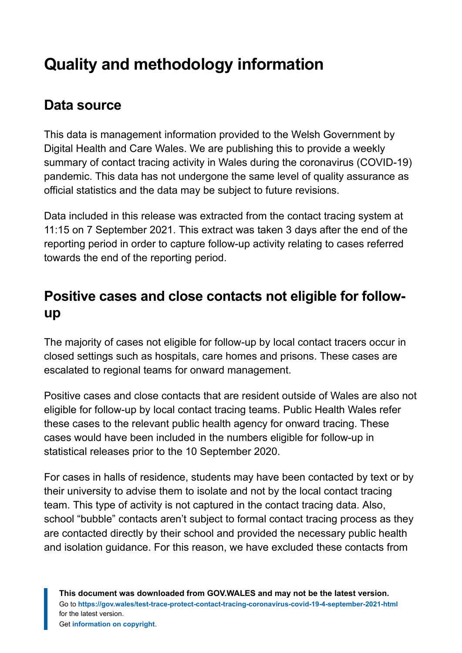# <span id="page-10-0"></span>**Quality and methodology information**

# **Data source**

This data is management information provided to the Welsh Government by Digital Health and Care Wales. We are publishing this to provide a weekly summary of contact tracing activity in Wales during the coronavirus (COVID-19) pandemic. This data has not undergone the same level of quality assurance as official statistics and the data may be subject to future revisions.

Data included in this release was extracted from the contact tracing system at 11:15 on 7 September 2021. This extract was taken 3 days after the end of the reporting period in order to capture follow-up activity relating to cases referred towards the end of the reporting period.

### **Positive cases and close contacts not eligible for followup**

The majority of cases not eligible for follow-up by local contact tracers occur in closed settings such as hospitals, care homes and prisons. These cases are escalated to regional teams for onward management.

Positive cases and close contacts that are resident outside of Wales are also not eligible for follow-up by local contact tracing teams. Public Health Wales refer these cases to the relevant public health agency for onward tracing. These cases would have been included in the numbers eligible for follow-up in statistical releases prior to the 10 September 2020.

For cases in halls of residence, students may have been contacted by text or by their university to advise them to isolate and not by the local contact tracing team. This type of activity is not captured in the contact tracing data. Also, school "bubble" contacts aren't subject to formal contact tracing process as they are contacted directly by their school and provided the necessary public health and isolation guidance. For this reason, we have excluded these contacts from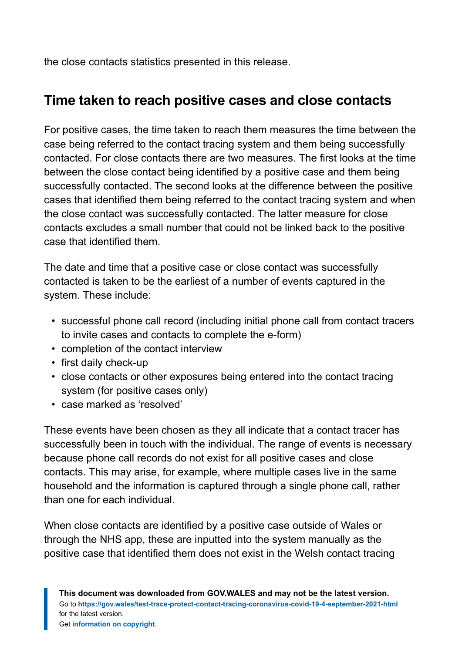the close contacts statistics presented in this release.

### **Time taken to reach positive cases and close contacts**

For positive cases, the time taken to reach them measures the time between the case being referred to the contact tracing system and them being successfully contacted. For close contacts there are two measures. The first looks at the time between the close contact being identified by a positive case and them being successfully contacted. The second looks at the difference between the positive cases that identified them being referred to the contact tracing system and when the close contact was successfully contacted. The latter measure for close contacts excludes a small number that could not be linked back to the positive case that identified them.

The date and time that a positive case or close contact was successfully contacted is taken to be the earliest of a number of events captured in the system. These include:

- successful phone call record (including initial phone call from contact tracers to invite cases and contacts to complete the e-form)
- completion of the contact interview
- first daily check-up
- close contacts or other exposures being entered into the contact tracing system (for positive cases only)
- case marked as 'resolved'

These events have been chosen as they all indicate that a contact tracer has successfully been in touch with the individual. The range of events is necessary because phone call records do not exist for all positive cases and close contacts. This may arise, for example, where multiple cases live in the same household and the information is captured through a single phone call, rather than one for each individual.

When close contacts are identified by a positive case outside of Wales or through the NHS app, these are inputted into the system manually as the positive case that identified them does not exist in the Welsh contact tracing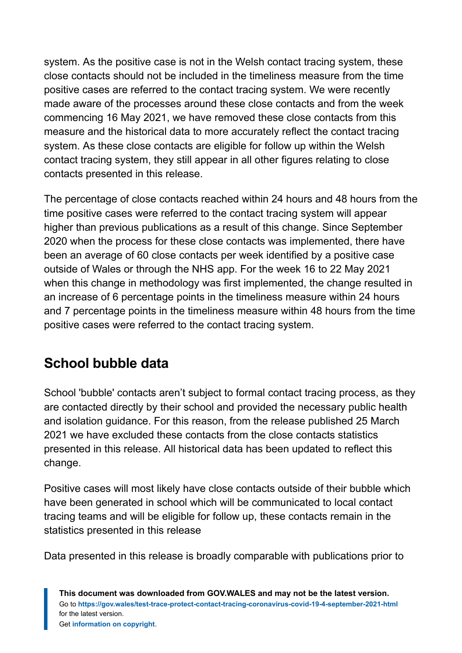system. As the positive case is not in the Welsh contact tracing system, these close contacts should not be included in the timeliness measure from the time positive cases are referred to the contact tracing system. We were recently made aware of the processes around these close contacts and from the week commencing 16 May 2021, we have removed these close contacts from this measure and the historical data to more accurately reflect the contact tracing system. As these close contacts are eligible for follow up within the Welsh contact tracing system, they still appear in all other figures relating to close contacts presented in this release.

The percentage of close contacts reached within 24 hours and 48 hours from the time positive cases were referred to the contact tracing system will appear higher than previous publications as a result of this change. Since September 2020 when the process for these close contacts was implemented, there have been an average of 60 close contacts per week identified by a positive case outside of Wales or through the NHS app. For the week 16 to 22 May 2021 when this change in methodology was first implemented, the change resulted in an increase of 6 percentage points in the timeliness measure within 24 hours and 7 percentage points in the timeliness measure within 48 hours from the time positive cases were referred to the contact tracing system.

# **School bubble data**

School 'bubble' contacts aren't subject to formal contact tracing process, as they are contacted directly by their school and provided the necessary public health and isolation guidance. For this reason, from the release published 25 March 2021 we have excluded these contacts from the close contacts statistics presented in this release. All historical data has been updated to reflect this change.

Positive cases will most likely have close contacts outside of their bubble which have been generated in school which will be communicated to local contact tracing teams and will be eligible for follow up, these contacts remain in the statistics presented in this release

Data presented in this release is broadly comparable with publications prior to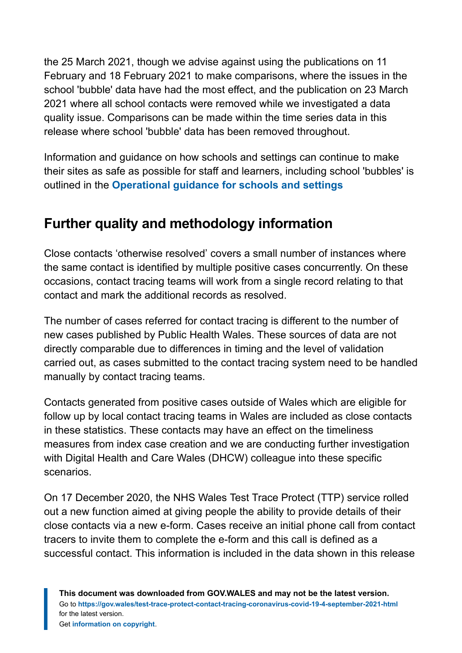the 25 March 2021, though we advise against using the publications on 11 February and 18 February 2021 to make comparisons, where the issues in the school 'bubble' data have had the most effect, and the publication on 23 March 2021 where all school contacts were removed while we investigated a data quality issue. Comparisons can be made within the time series data in this release where school 'bubble' data has been removed throughout.

Information and guidance on how schools and settings can continue to make their sites as safe as possible for staff and learners, including school 'bubbles' is outlined in the **[Operational guidance for schools and settings](https://gov.wales/operational-guidance-schools-and-settings-until-31-august-2021-html)**

# **Further quality and methodology information**

Close contacts 'otherwise resolved' covers a small number of instances where the same contact is identified by multiple positive cases concurrently. On these occasions, contact tracing teams will work from a single record relating to that contact and mark the additional records as resolved.

The number of cases referred for contact tracing is different to the number of new cases published by Public Health Wales. These sources of data are not directly comparable due to differences in timing and the level of validation carried out, as cases submitted to the contact tracing system need to be handled manually by contact tracing teams.

Contacts generated from positive cases outside of Wales which are eligible for follow up by local contact tracing teams in Wales are included as close contacts in these statistics. These contacts may have an effect on the timeliness measures from index case creation and we are conducting further investigation with Digital Health and Care Wales (DHCW) colleague into these specific scenarios.

On 17 December 2020, the NHS Wales Test Trace Protect (TTP) service rolled out a new function aimed at giving people the ability to provide details of their close contacts via a new e-form. Cases receive an initial phone call from contact tracers to invite them to complete the e-form and this call is defined as a successful contact. This information is included in the data shown in this release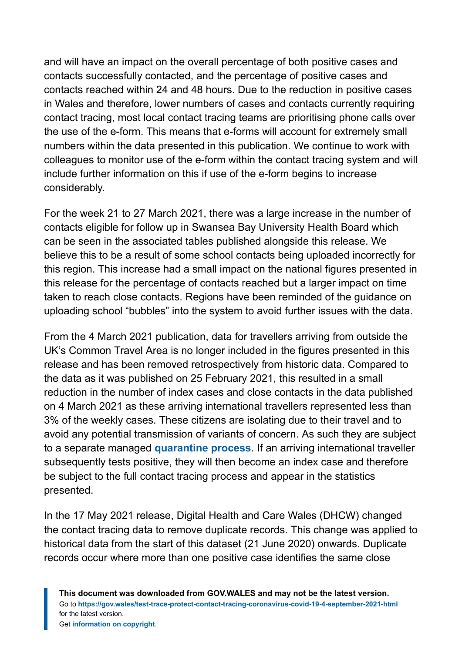and will have an impact on the overall percentage of both positive cases and contacts successfully contacted, and the percentage of positive cases and contacts reached within 24 and 48 hours. Due to the reduction in positive cases in Wales and therefore, lower numbers of cases and contacts currently requiring contact tracing, most local contact tracing teams are prioritising phone calls over the use of the e-form. This means that e-forms will account for extremely small numbers within the data presented in this publication. We continue to work with colleagues to monitor use of the e-form within the contact tracing system and will include further information on this if use of the e-form begins to increase considerably.

For the week 21 to 27 March 2021, there was a large increase in the number of contacts eligible for follow up in Swansea Bay University Health Board which can be seen in the associated tables published alongside this release. We believe this to be a result of some school contacts being uploaded incorrectly for this region. This increase had a small impact on the national figures presented in this release for the percentage of contacts reached but a larger impact on time taken to reach close contacts. Regions have been reminded of the guidance on uploading school "bubbles" into the system to avoid further issues with the data.

From the 4 March 2021 publication, data for travellers arriving from outside the UK's Common Travel Area is no longer included in the figures presented in this release and has been removed retrospectively from historic data. Compared to the data as it was published on 25 February 2021, this resulted in a small reduction in the number of index cases and close contacts in the data published on 4 March 2021 as these arriving international travellers represented less than 3% of the weekly cases. These citizens are isolating due to their travel and to avoid any potential transmission of variants of concern. As such they are subject to a separate managed **[quarantine process](https://gov.wales/how-isolate-when-you-travel-wales-coronavirus-covid-19)**. If an arriving international traveller subsequently tests positive, they will then become an index case and therefore be subject to the full contact tracing process and appear in the statistics presented.

In the 17 May 2021 release, Digital Health and Care Wales (DHCW) changed the contact tracing data to remove duplicate records. This change was applied to historical data from the start of this dataset (21 June 2020) onwards. Duplicate records occur where more than one positive case identifies the same close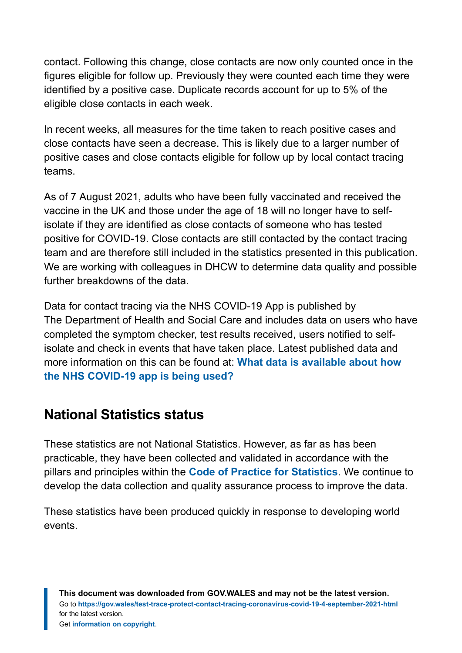contact. Following this change, close contacts are now only counted once in the figures eligible for follow up. Previously they were counted each time they were identified by a positive case. Duplicate records account for up to 5% of the eligible close contacts in each week.

In recent weeks, all measures for the time taken to reach positive cases and close contacts have seen a decrease. This is likely due to a larger number of positive cases and close contacts eligible for follow up by local contact tracing teams.

As of 7 August 2021, adults who have been fully vaccinated and received the vaccine in the UK and those under the age of 18 will no longer have to selfisolate if they are identified as close contacts of someone who has tested positive for COVID-19. Close contacts are still contacted by the contact tracing team and are therefore still included in the statistics presented in this publication. We are working with colleagues in DHCW to determine data quality and possible further breakdowns of the data.

Data for contact tracing via the NHS COVID-19 App is published by The Department of Health and Social Care and includes data on users who have completed the symptom checker, test results received, users notified to selfisolate and check in events that have taken place. Latest published data and more information on this can be found at: **[What data is available about how](https://faq.covid19.nhs.uk/article/KA-01367) [the NHS COVID-19 app is being used?](https://faq.covid19.nhs.uk/article/KA-01367)**

### **National Statistics status**

These statistics are not National Statistics. However, as far as has been practicable, they have been collected and validated in accordance with the pillars and principles within the **[Code of Practice for Statistics](https://code.statisticsauthority.gov.uk/)**. We continue to develop the data collection and quality assurance process to improve the data.

These statistics have been produced quickly in response to developing world events.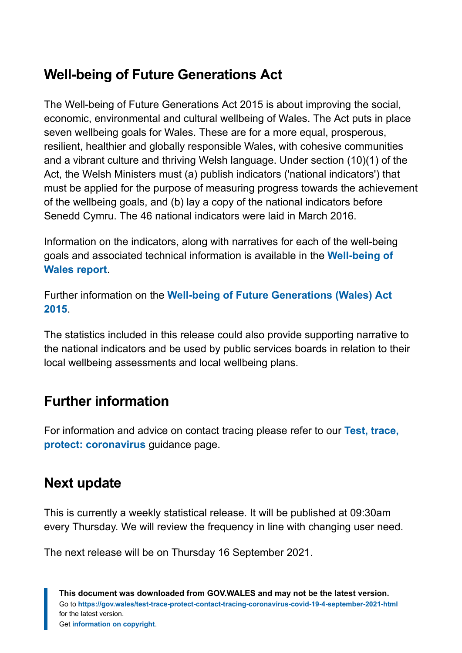### **Well-being of Future Generations Act**

The Well-being of Future Generations Act 2015 is about improving the social, economic, environmental and cultural wellbeing of Wales. The Act puts in place seven wellbeing goals for Wales. These are for a more equal, prosperous, resilient, healthier and globally responsible Wales, with cohesive communities and a vibrant culture and thriving Welsh language. Under section (10)(1) of the Act, the Welsh Ministers must (a) publish indicators ('national indicators') that must be applied for the purpose of measuring progress towards the achievement of the wellbeing goals, and (b) lay a copy of the national indicators before Senedd Cymru. The 46 national indicators were laid in March 2016.

Information on the indicators, along with narratives for each of the well-being goals and associated technical information is available in the **[Well-being of](https://gov.wales/wellbeing-wales) [Wales report](https://gov.wales/wellbeing-wales)**.

Further information on the **[Well-being of Future Generations \(Wales\) Act](https://gov.wales/well-being-future-generations-wales-act-2015-guidance) [2015](https://gov.wales/well-being-future-generations-wales-act-2015-guidance)**.

The statistics included in this release could also provide supporting narrative to the national indicators and be used by public services boards in relation to their local wellbeing assessments and local wellbeing plans.

# **Further information**

For information and advice on contact tracing please refer to our **[Test, trace,](https://gov.wales/test-trace-protect-coronavirus) [protect: coronavirus](https://gov.wales/test-trace-protect-coronavirus)** guidance page.

### **Next update**

This is currently a weekly statistical release. It will be published at 09:30am every Thursday. We will review the frequency in line with changing user need.

The next release will be on Thursday 16 September 2021.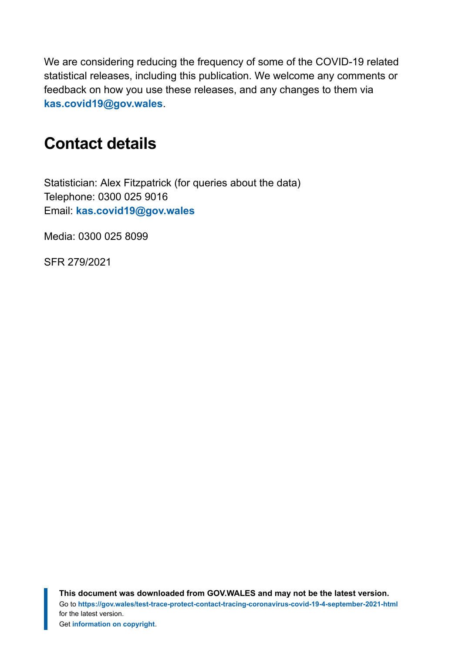We are considering reducing the frequency of some of the COVID-19 related statistical releases, including this publication. We welcome any comments or feedback on how you use these releases, and any changes to them via **[kas.covid19@gov.wales](mailto:KAS.COVID19@gov.wales)**.

# <span id="page-17-0"></span>**Contact details**

Statistician: Alex Fitzpatrick (for queries about the data) Telephone: 0300 025 9016 Email: **[kas.covid19@gov.wales](mailto:kas.covid19@gov.wales)**

Media: 0300 025 8099

SFR 279/2021